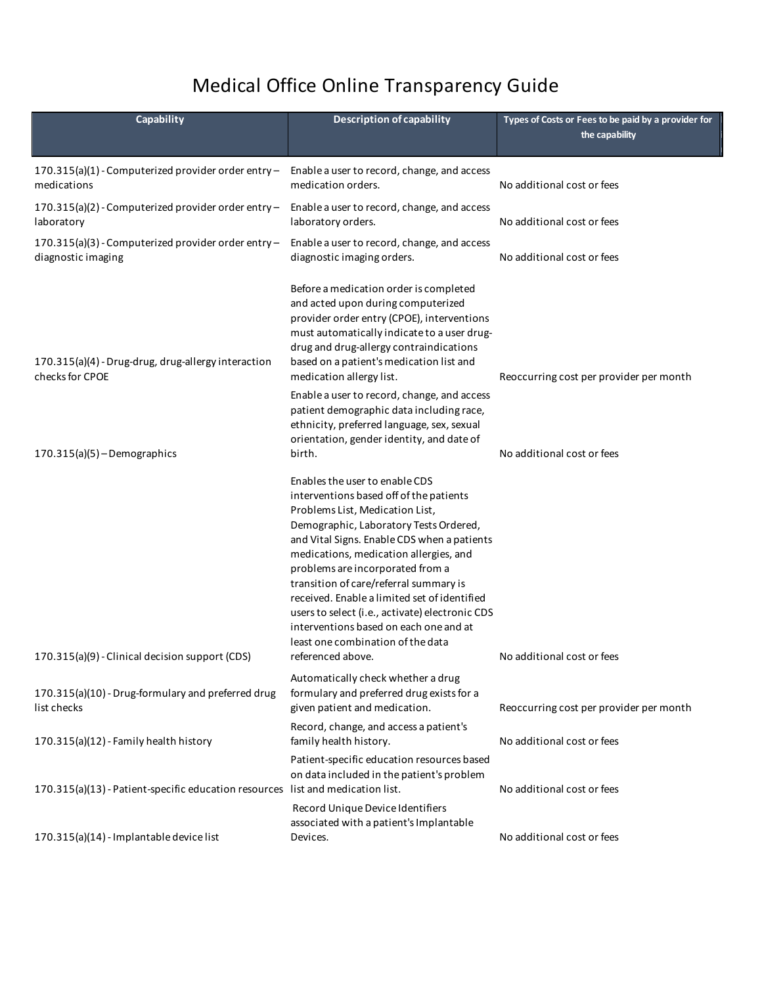## Medical Office Online Transparency Guide

**L i m**

| Capability                                                                      | Description of capability                                                                                                                                                                                                                                                                                                                                                                                                                                                                                                            | Types of Costs or Fees to be paid by a provider for<br>the capability |
|---------------------------------------------------------------------------------|--------------------------------------------------------------------------------------------------------------------------------------------------------------------------------------------------------------------------------------------------------------------------------------------------------------------------------------------------------------------------------------------------------------------------------------------------------------------------------------------------------------------------------------|-----------------------------------------------------------------------|
| 170.315(a)(1) - Computerized provider order entry -<br>medications              | Enable a user to record, change, and access<br>medication orders.                                                                                                                                                                                                                                                                                                                                                                                                                                                                    | No additional cost or fees                                            |
| 170.315(a)(2) - Computerized provider order entry -<br>laboratory               | Enable a user to record, change, and access<br>laboratory orders.                                                                                                                                                                                                                                                                                                                                                                                                                                                                    | No additional cost or fees                                            |
| 170.315(a)(3) - Computerized provider order entry -<br>diagnostic imaging       | Enable a user to record, change, and access<br>diagnostic imaging orders.                                                                                                                                                                                                                                                                                                                                                                                                                                                            | No additional cost or fees                                            |
| 170.315(a)(4) - Drug-drug, drug-allergy interaction<br>checks for CPOE          | Before a medication order is completed<br>and acted upon during computerized<br>provider order entry (CPOE), interventions<br>must automatically indicate to a user drug-<br>drug and drug-allergy contraindications<br>based on a patient's medication list and<br>medication allergy list.                                                                                                                                                                                                                                         | Reoccurring cost per provider per month                               |
| $170.315(a)(5)$ - Demographics                                                  | Enable a user to record, change, and access<br>patient demographic data including race,<br>ethnicity, preferred language, sex, sexual<br>orientation, gender identity, and date of<br>birth.                                                                                                                                                                                                                                                                                                                                         | No additional cost or fees                                            |
| 170.315(a)(9) - Clinical decision support (CDS)                                 | Enables the user to enable CDS<br>interventions based off of the patients<br>Problems List, Medication List,<br>Demographic, Laboratory Tests Ordered,<br>and Vital Signs. Enable CDS when a patients<br>medications, medication allergies, and<br>problems are incorporated from a<br>transition of care/referral summary is<br>received. Enable a limited set of identified<br>users to select (i.e., activate) electronic CDS<br>interventions based on each one and at<br>least one combination of the data<br>referenced above. | No additional cost or fees                                            |
| 170.315(a)(10) - Drug-formulary and preferred drug<br>list checks               | Automatically check whether a drug<br>formulary and preferred drug exists for a<br>given patient and medication.                                                                                                                                                                                                                                                                                                                                                                                                                     | Reoccurring cost per provider per month                               |
| 170.315(a)(12) - Family health history                                          | Record, change, and access a patient's<br>family health history.                                                                                                                                                                                                                                                                                                                                                                                                                                                                     | No additional cost or fees                                            |
| 170.315(a)(13) - Patient-specific education resources list and medication list. | Patient-specific education resources based<br>on data included in the patient's problem                                                                                                                                                                                                                                                                                                                                                                                                                                              | No additional cost or fees                                            |
| 170.315(a)(14) - Implantable device list                                        | Record Unique Device Identifiers<br>associated with a patient's Implantable<br>Devices.                                                                                                                                                                                                                                                                                                                                                                                                                                              | No additional cost or fees                                            |